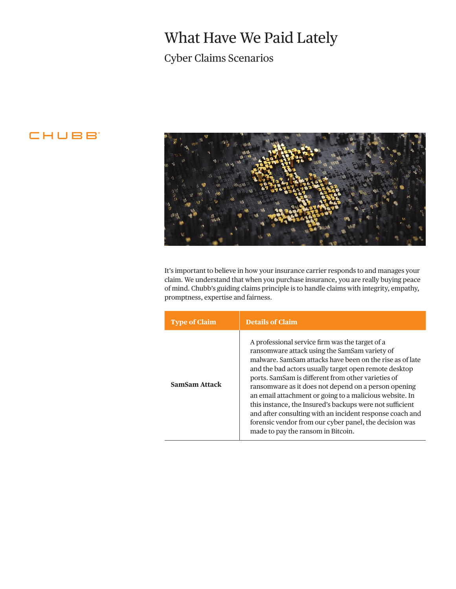# What Have We Paid Lately

### Cyber Claims Scenarios

### **CHUBB**



It's important to believe in how your insurance carrier responds to and manages your claim. We understand that when you purchase insurance, you are really buying peace of mind. Chubb's guiding claims principle is to handle claims with integrity, empathy, promptness, expertise and fairness.

| <b>Type of Claim</b> | <b>Details of Claim</b>                                                                                                                                                                                                                                                                                                                                                                                                                                                                                                                                                                                                |
|----------------------|------------------------------------------------------------------------------------------------------------------------------------------------------------------------------------------------------------------------------------------------------------------------------------------------------------------------------------------------------------------------------------------------------------------------------------------------------------------------------------------------------------------------------------------------------------------------------------------------------------------------|
| <b>SamSam Attack</b> | A professional service firm was the target of a<br>ransomware attack using the SamSam variety of<br>malware. SamSam attacks have been on the rise as of late<br>and the bad actors usually target open remote desktop<br>ports. SamSam is different from other varieties of<br>ransomware as it does not depend on a person opening<br>an email attachment or going to a malicious website. In<br>this instance, the Insured's backups were not sufficient<br>and after consulting with an incident response coach and<br>forensic vendor from our cyber panel, the decision was<br>made to pay the ransom in Bitcoin. |